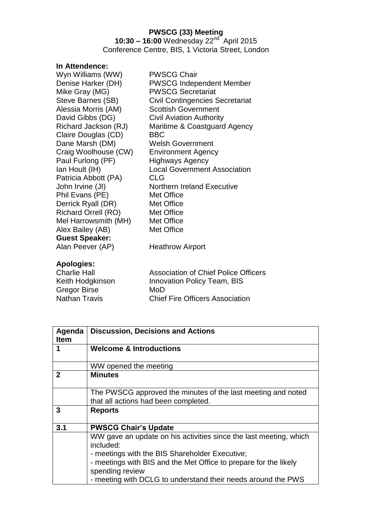### **PWSCG (33) Meeting**

**10:30 – 16:00** Wednesday 22nd April 2015 Conference Centre, BIS, 1 Victoria Street, London

## **In Attendence:**

| Wyn Williams (WW)          | <b>PWSCG Chair</b>                     |
|----------------------------|----------------------------------------|
| Denise Harker (DH)         | PWSCG Independent Member               |
| Mike Gray (MG)             | <b>PWSCG Secretariat</b>               |
| Steve Barnes (SB)          | <b>Civil Contingencies Secretariat</b> |
| Alessia Morris (AM)        | <b>Scottish Government</b>             |
| David Gibbs (DG)           | <b>Civil Aviation Authority</b>        |
| Richard Jackson (RJ)       | Maritime & Coastguard Agency           |
| Claire Douglas (CD)        | <b>BBC</b>                             |
| Dane Marsh (DM)            | <b>Welsh Government</b>                |
| Craig Woolhouse (CW)       | <b>Environment Agency</b>              |
| Paul Furlong (PF)          | Highways Agency                        |
| Ian Hoult (IH)             | <b>Local Government Association</b>    |
| Patricia Abbott (PA)       | <b>CLG</b>                             |
| John Irvine (JI)           | <b>Northern Ireland Executive</b>      |
| Phil Evans (PE)            | Met Office                             |
| Derrick Ryall (DR)         | Met Office                             |
| <b>Richard Orrell (RO)</b> | Met Office                             |
| Mel Harrowsmith (MH)       | Met Office                             |
| Alex Bailey (AB)           | Met Office                             |
| <b>Guest Speaker:</b>      |                                        |
| Alan Peever (AP)           | <b>Heathrow Airport</b>                |
| Anologies:                 |                                        |

**Apologies:** Charlie Hall **Association of Chief Police Officers**<br>
Keith Hodgkinson **Mark Innovation Policy Team, BIS** Innovation Policy Team, BIS Gregor Birse MoD<br>
Nathan Travis Chief Chief Fire Officers Association

| Agenda       | <b>Discussion, Decisions and Actions</b>                                                             |
|--------------|------------------------------------------------------------------------------------------------------|
| <b>Item</b>  |                                                                                                      |
| 1            | <b>Welcome &amp; Introductions</b>                                                                   |
|              | WW opened the meeting                                                                                |
| $\mathbf{2}$ | <b>Minutes</b>                                                                                       |
|              | The PWSCG approved the minutes of the last meeting and noted<br>that all actions had been completed. |
| 3            | <b>Reports</b>                                                                                       |
| 3.1          | <b>PWSCG Chair's Update</b>                                                                          |
|              | WW gave an update on his activities since the last meeting, which<br>included:                       |
|              | - meetings with the BIS Shareholder Executive;                                                       |
|              | - meetings with BIS and the Met Office to prepare for the likely                                     |
|              | spending review                                                                                      |
|              | - meeting with DCLG to understand their needs around the PWS                                         |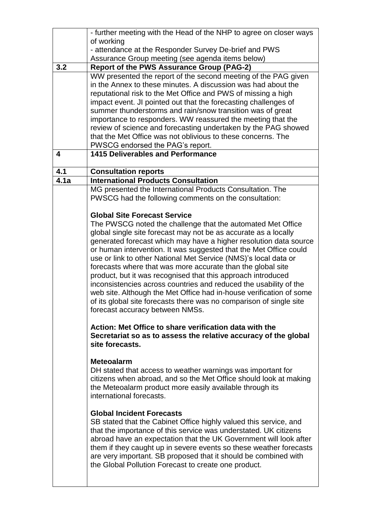|      | - further meeting with the Head of the NHP to agree on closer ways                   |
|------|--------------------------------------------------------------------------------------|
|      | of working                                                                           |
|      | - attendance at the Responder Survey De-brief and PWS                                |
|      | Assurance Group meeting (see agenda items below)                                     |
| 3.2  | <b>Report of the PWS Assurance Group (PAG-2)</b>                                     |
|      | WW presented the report of the second meeting of the PAG given                       |
|      | in the Annex to these minutes. A discussion was had about the                        |
|      | reputational risk to the Met Office and PWS of missing a high                        |
|      | impact event. JI pointed out that the forecasting challenges of                      |
|      | summer thunderstorms and rain/snow transition was of great                           |
|      | importance to responders. WW reassured the meeting that the                          |
|      | review of science and forecasting undertaken by the PAG showed                       |
|      | that the Met Office was not oblivious to these concerns. The                         |
|      | PWSCG endorsed the PAG's report.                                                     |
| 4    | <b>1415 Deliverables and Performance</b>                                             |
|      |                                                                                      |
| 4.1  | <b>Consultation reports</b>                                                          |
| 4.1a | <b>International Products Consultation</b>                                           |
|      | MG presented the International Products Consultation. The                            |
|      | PWSCG had the following comments on the consultation:                                |
|      | <b>Global Site Forecast Service</b>                                                  |
|      | The PWSCG noted the challenge that the automated Met Office                          |
|      | global single site forecast may not be as accurate as a locally                      |
|      | generated forecast which may have a higher resolution data source                    |
|      | or human intervention. It was suggested that the Met Office could                    |
|      | use or link to other National Met Service (NMS)'s local data or                      |
|      | forecasts where that was more accurate than the global site                          |
|      | product, but it was recognised that this approach introduced                         |
|      | inconsistencies across countries and reduced the usability of the                    |
|      | web site. Although the Met Office had in-house verification of some                  |
|      | of its global site forecasts there was no comparison of single site                  |
|      | forecast accuracy between NMSs.                                                      |
|      |                                                                                      |
|      | Action: Met Office to share verification data with the                               |
|      | Secretariat so as to assess the relative accuracy of the global                      |
|      | site forecasts.                                                                      |
|      | <b>Meteoalarm</b>                                                                    |
|      |                                                                                      |
|      | DH stated that access to weather warnings was important for                          |
|      | citizens when abroad, and so the Met Office should look at making                    |
|      | the Meteoalarm product more easily available through its<br>international forecasts. |
|      |                                                                                      |
|      | <b>Global Incident Forecasts</b>                                                     |
|      | SB stated that the Cabinet Office highly valued this service, and                    |
|      | that the importance of this service was understated. UK citizens                     |
|      | abroad have an expectation that the UK Government will look after                    |
|      | them if they caught up in severe events so these weather forecasts                   |
|      | are very important. SB proposed that it should be combined with                      |
|      | the Global Pollution Forecast to create one product.                                 |
|      |                                                                                      |
|      |                                                                                      |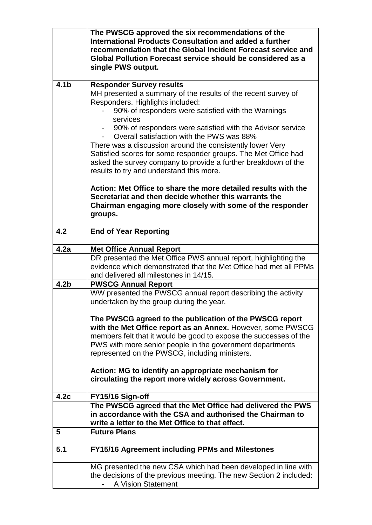|                  | The PWSCG approved the six recommendations of the<br>International Products Consultation and added a further<br>recommendation that the Global Incident Forecast service and<br>Global Pollution Forecast service should be considered as a<br>single PWS output. |
|------------------|-------------------------------------------------------------------------------------------------------------------------------------------------------------------------------------------------------------------------------------------------------------------|
| 4.1 <sub>b</sub> | <b>Responder Survey results</b>                                                                                                                                                                                                                                   |
|                  | MH presented a summary of the results of the recent survey of<br>Responders. Highlights included:<br>90% of responders were satisfied with the Warnings<br>services<br>90% of responders were satisfied with the Advisor service                                  |
|                  | Overall satisfaction with the PWS was 88%                                                                                                                                                                                                                         |
|                  | There was a discussion around the consistently lower Very<br>Satisfied scores for some responder groups. The Met Office had<br>asked the survey company to provide a further breakdown of the<br>results to try and understand this more.                         |
|                  | Action: Met Office to share the more detailed results with the<br>Secretariat and then decide whether this warrants the<br>Chairman engaging more closely with some of the responder<br>groups.                                                                   |
| 4.2              | <b>End of Year Reporting</b>                                                                                                                                                                                                                                      |
| 4.2a             | <b>Met Office Annual Report</b>                                                                                                                                                                                                                                   |
|                  | DR presented the Met Office PWS annual report, highlighting the                                                                                                                                                                                                   |
|                  | evidence which demonstrated that the Met Office had met all PPMs<br>and delivered all milestones in 14/15.                                                                                                                                                        |
| 4.2 <sub>b</sub> | <b>PWSCG Annual Report</b>                                                                                                                                                                                                                                        |
|                  | WW presented the PWSCG annual report describing the activity<br>undertaken by the group during the year.                                                                                                                                                          |
|                  | The PWSCG agreed to the publication of the PWSCG report<br>with the Met Office report as an Annex. However, some PWSCG                                                                                                                                            |
|                  | members felt that it would be good to expose the successes of the                                                                                                                                                                                                 |
|                  | PWS with more senior people in the government departments                                                                                                                                                                                                         |
|                  | represented on the PWSCG, including ministers.                                                                                                                                                                                                                    |
|                  | Action: MG to identify an appropriate mechanism for<br>circulating the report more widely across Government.                                                                                                                                                      |
| 4.2c             | FY15/16 Sign-off                                                                                                                                                                                                                                                  |
|                  | The PWSCG agreed that the Met Office had delivered the PWS<br>in accordance with the CSA and authorised the Chairman to<br>write a letter to the Met Office to that effect.                                                                                       |
| 5                | <b>Future Plans</b>                                                                                                                                                                                                                                               |
| 5.1              | <b>FY15/16 Agreement including PPMs and Milestones</b>                                                                                                                                                                                                            |
|                  | MG presented the new CSA which had been developed in line with<br>the decisions of the previous meeting. The new Section 2 included:<br>A Vision Statement                                                                                                        |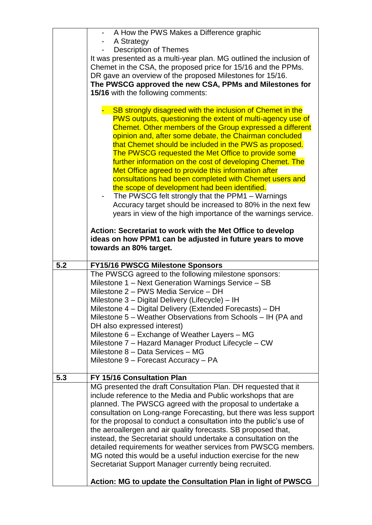|     | - A How the PWS Makes a Difference graphic                                                                                       |
|-----|----------------------------------------------------------------------------------------------------------------------------------|
|     | A Strategy<br><b>Description of Themes</b>                                                                                       |
|     | It was presented as a multi-year plan. MG outlined the inclusion of                                                              |
|     | Chemet in the CSA, the proposed price for 15/16 and the PPMs.                                                                    |
|     | DR gave an overview of the proposed Milestones for 15/16.                                                                        |
|     | The PWSCG approved the new CSA, PPMs and Milestones for                                                                          |
|     | 15/16 with the following comments:                                                                                               |
|     |                                                                                                                                  |
|     | SB strongly disagreed with the inclusion of Chemet in the                                                                        |
|     | <b>PWS outputs, questioning the extent of multi-agency use of</b>                                                                |
|     | Chemet. Other members of the Group expressed a different                                                                         |
|     | opinion and, after some debate, the Chairman concluded                                                                           |
|     | that Chemet should be included in the PWS as proposed.                                                                           |
|     | The PWSCG requested the Met Office to provide some<br>further information on the cost of developing Chemet. The                  |
|     | Met Office agreed to provide this information after                                                                              |
|     | consultations had been completed with Chemet users and                                                                           |
|     | the scope of development had been identified.                                                                                    |
|     | The PWSCG felt strongly that the PPM1 – Warnings<br>۰                                                                            |
|     | Accuracy target should be increased to 80% in the next few                                                                       |
|     | years in view of the high importance of the warnings service.                                                                    |
|     |                                                                                                                                  |
|     | Action: Secretariat to work with the Met Office to develop                                                                       |
|     | ideas on how PPM1 can be adjusted in future years to move                                                                        |
|     | towards an 80% target.                                                                                                           |
| 5.2 | <b>FY15/16 PWSCG Milestone Sponsors</b>                                                                                          |
|     | The PWSCG agreed to the following milestone sponsors:                                                                            |
|     | Milestone 1 - Next Generation Warnings Service - SB                                                                              |
|     | Milestone 2 - PWS Media Service - DH                                                                                             |
|     | Milestone 3 - Digital Delivery (Lifecycle) - IH                                                                                  |
|     |                                                                                                                                  |
|     | Milestone 4 – Digital Delivery (Extended Forecasts) – DH                                                                         |
|     | Milestone 5 – Weather Observations from Schools – IH (PA and                                                                     |
|     | DH also expressed interest)                                                                                                      |
|     | Milestone 6 – Exchange of Weather Layers – MG                                                                                    |
|     | Milestone 7 - Hazard Manager Product Lifecycle - CW<br>Milestone 8 - Data Services - MG                                          |
|     | Milestone 9 - Forecast Accuracy - PA                                                                                             |
|     |                                                                                                                                  |
| 5.3 | FY 15/16 Consultation Plan                                                                                                       |
|     | MG presented the draft Consultation Plan. DH requested that it                                                                   |
|     | include reference to the Media and Public workshops that are                                                                     |
|     | planned. The PWSCG agreed with the proposal to undertake a                                                                       |
|     | consultation on Long-range Forecasting, but there was less support                                                               |
|     | for the proposal to conduct a consultation into the public's use of                                                              |
|     | the aeroallergen and air quality forecasts. SB proposed that,<br>instead, the Secretariat should undertake a consultation on the |
|     | detailed requirements for weather services from PWSCG members.                                                                   |
|     | MG noted this would be a useful induction exercise for the new                                                                   |
|     | Secretariat Support Manager currently being recruited.                                                                           |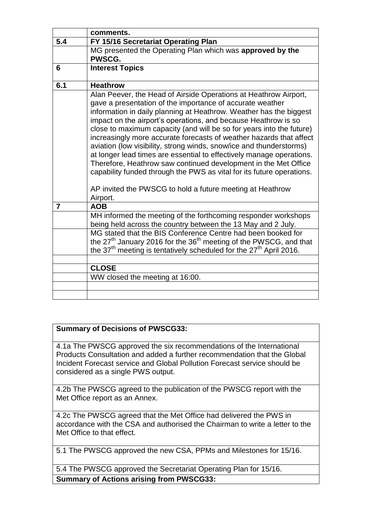|                | comments.                                                                                                                                                                                                                                                                                                                                                                                                                                                                                                                                                                                                                                                                                                                                                                                |
|----------------|------------------------------------------------------------------------------------------------------------------------------------------------------------------------------------------------------------------------------------------------------------------------------------------------------------------------------------------------------------------------------------------------------------------------------------------------------------------------------------------------------------------------------------------------------------------------------------------------------------------------------------------------------------------------------------------------------------------------------------------------------------------------------------------|
| 5.4            | FY 15/16 Secretariat Operating Plan                                                                                                                                                                                                                                                                                                                                                                                                                                                                                                                                                                                                                                                                                                                                                      |
|                | MG presented the Operating Plan which was approved by the<br>PWSCG.                                                                                                                                                                                                                                                                                                                                                                                                                                                                                                                                                                                                                                                                                                                      |
| 6              | <b>Interest Topics</b>                                                                                                                                                                                                                                                                                                                                                                                                                                                                                                                                                                                                                                                                                                                                                                   |
| 6.1            | <b>Heathrow</b>                                                                                                                                                                                                                                                                                                                                                                                                                                                                                                                                                                                                                                                                                                                                                                          |
|                | Alan Peever, the Head of Airside Operations at Heathrow Airport,<br>gave a presentation of the importance of accurate weather<br>information in daily planning at Heathrow. Weather has the biggest<br>impact on the airport's operations, and because Heathrow is so<br>close to maximum capacity (and will be so for years into the future)<br>increasingly more accurate forecasts of weather hazards that affect<br>aviation (low visibility, strong winds, snow/ice and thunderstorms)<br>at longer lead times are essential to effectively manage operations.<br>Therefore, Heathrow saw continued development in the Met Office<br>capability funded through the PWS as vital for its future operations.<br>AP invited the PWSCG to hold a future meeting at Heathrow<br>Airport. |
| $\overline{7}$ | <b>AOB</b>                                                                                                                                                                                                                                                                                                                                                                                                                                                                                                                                                                                                                                                                                                                                                                               |
|                | MH informed the meeting of the forthcoming responder workshops<br>being held across the country between the 13 May and 2 July.                                                                                                                                                                                                                                                                                                                                                                                                                                                                                                                                                                                                                                                           |
|                | MG stated that the BIS Conference Centre had been booked for<br>the $27th$ January 2016 for the $36th$ meeting of the PWSCG, and that<br>the $37th$ meeting is tentatively scheduled for the $27th$ April 2016.                                                                                                                                                                                                                                                                                                                                                                                                                                                                                                                                                                          |
|                | <b>CLOSE</b>                                                                                                                                                                                                                                                                                                                                                                                                                                                                                                                                                                                                                                                                                                                                                                             |
|                | WW closed the meeting at 16:00.                                                                                                                                                                                                                                                                                                                                                                                                                                                                                                                                                                                                                                                                                                                                                          |
|                |                                                                                                                                                                                                                                                                                                                                                                                                                                                                                                                                                                                                                                                                                                                                                                                          |
|                |                                                                                                                                                                                                                                                                                                                                                                                                                                                                                                                                                                                                                                                                                                                                                                                          |

## **Summary of Decisions of PWSCG33:**

4.1a The PWSCG approved the six recommendations of the International Products Consultation and added a further recommendation that the Global Incident Forecast service and Global Pollution Forecast service should be considered as a single PWS output.

4.2b The PWSCG agreed to the publication of the PWSCG report with the Met Office report as an Annex.

4.2c The PWSCG agreed that the Met Office had delivered the PWS in accordance with the CSA and authorised the Chairman to write a letter to the Met Office to that effect.

5.1 The PWSCG approved the new CSA, PPMs and Milestones for 15/16.

5.4 The PWSCG approved the Secretariat Operating Plan for 15/16. **Summary of Actions arising from PWSCG33:**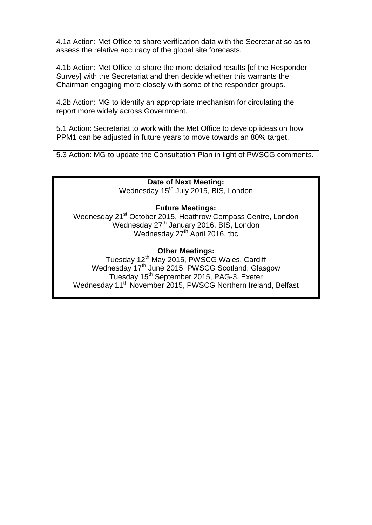4.1a Action: Met Office to share verification data with the Secretariat so as to assess the relative accuracy of the global site forecasts.

4.1b Action: Met Office to share the more detailed results [of the Responder Survey] with the Secretariat and then decide whether this warrants the Chairman engaging more closely with some of the responder groups.

4.2b Action: MG to identify an appropriate mechanism for circulating the report more widely across Government.

5.1 Action: Secretariat to work with the Met Office to develop ideas on how PPM1 can be adjusted in future years to move towards an 80% target.

5.3 Action: MG to update the Consultation Plan in light of PWSCG comments.

## **Date of Next Meeting:**

Wednesday 15<sup>th</sup> July 2015, BIS, London

## **Future Meetings:**

Wednesday 21<sup>st</sup> October 2015, Heathrow Compass Centre, London Et Colober 2015, Healthow Compass Con Wednesday  $27<sup>th</sup>$  April 2016, tbc

## **Other Meetings:**

Tuesday 12<sup>th</sup> May 2015, PWSCG Wales, Cardiff Wednesday 17<sup>th</sup> June 2015, PWSCG Scotland, Glasgow Tuesday 15<sup>th</sup> September 2015, PAG-3, Exeter Wednesday 11<sup>th</sup> November 2015, PWSCG Northern Ireland, Belfast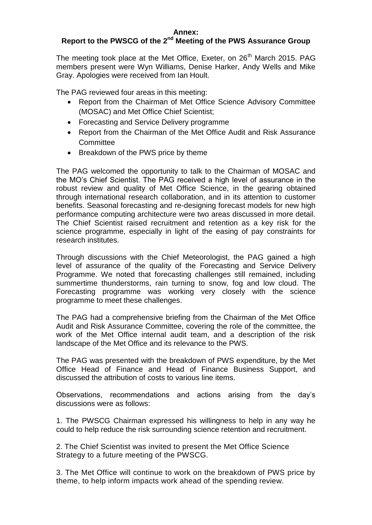# **Report to the PWSCG of the 2nd Meeting of the PWS Assurance Group**

The meeting took place at the Met Office, Exeter, on 26<sup>th</sup> March 2015. PAG members present were Wyn Williams, Denise Harker, Andy Wells and Mike Gray. Apologies were received from Ian Hoult.

The PAG reviewed four areas in this meeting:

- Report from the Chairman of Met Office Science Advisory Committee (MOSAC) and Met Office Chief Scientist;
- Forecasting and Service Delivery programme
- Report from the Chairman of the Met Office Audit and Risk Assurance **Committee**
- Breakdown of the PWS price by theme

The PAG welcomed the opportunity to talk to the Chairman of MOSAC and the MO's Chief Scientist. The PAG received a high level of assurance in the robust review and quality of Met Office Science, in the gearing obtained through international research collaboration, and in its attention to customer benefits. Seasonal forecasting and re-designing forecast models for new high performance computing architecture were two areas discussed in more detail. The Chief Scientist raised recruitment and retention as a key risk for the science programme, especially in light of the easing of pay constraints for research institutes.

Through discussions with the Chief Meteorologist, the PAG gained a high level of assurance of the quality of the Forecasting and Service Delivery Programme. We noted that forecasting challenges still remained, including summertime thunderstorms, rain turning to snow, fog and low cloud. The Forecasting programme was working very closely with the science programme to meet these challenges.

The PAG had a comprehensive briefing from the Chairman of the Met Office Audit and Risk Assurance Committee, covering the role of the committee, the work of the Met Office internal audit team, and a description of the risk landscape of the Met Office and its relevance to the PWS.

The PAG was presented with the breakdown of PWS expenditure, by the Met Office Head of Finance and Head of Finance Business Support, and discussed the attribution of costs to various line items.

Observations, recommendations and actions arising from the day's discussions were as follows:

1. The PWSCG Chairman expressed his willingness to help in any way he could to help reduce the risk surrounding science retention and recruitment.

2. The Chief Scientist was invited to present the Met Office Science Strategy to a future meeting of the PWSCG.

3. The Met Office will continue to work on the breakdown of PWS price by theme, to help inform impacts work ahead of the spending review.